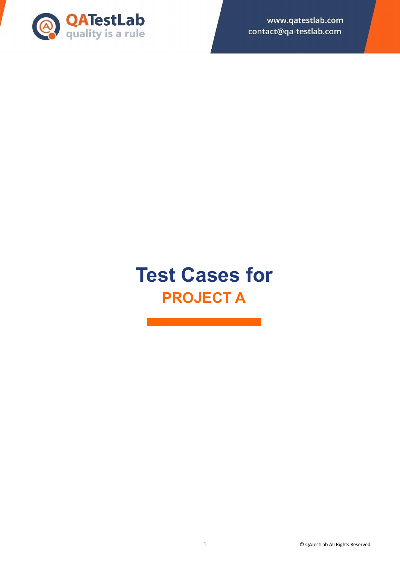

www.qatestlab.com contact@qa-testlab.com

# **Test Cases for PROJECT A**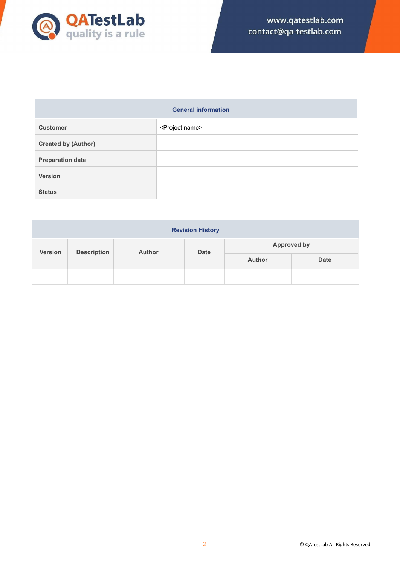

|                            | <b>General information</b>  |
|----------------------------|-----------------------------|
| <b>Customer</b>            | <project name=""></project> |
| <b>Created by (Author)</b> |                             |
| <b>Preparation date</b>    |                             |
| <b>Version</b>             |                             |
| <b>Status</b>              |                             |

| <b>Revision History</b>              |  |               |             |                    |             |
|--------------------------------------|--|---------------|-------------|--------------------|-------------|
| <b>Version</b><br><b>Description</b> |  | <b>Author</b> | <b>Date</b> | <b>Approved by</b> |             |
|                                      |  |               |             | <b>Author</b>      | <b>Date</b> |
|                                      |  |               |             |                    |             |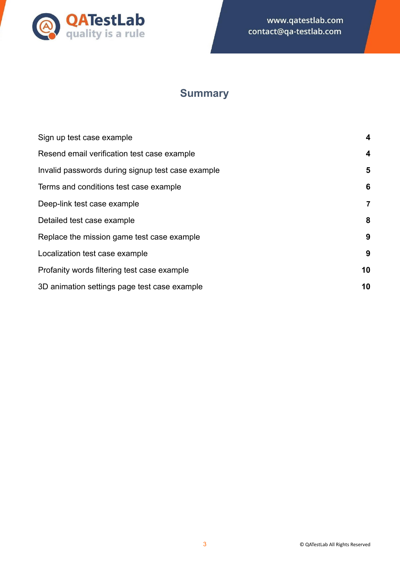

# **Summary**

| Sign up test case example                         | 4  |
|---------------------------------------------------|----|
| Resend email verification test case example       | 4  |
| Invalid passwords during signup test case example | 5  |
| Terms and conditions test case example            | 6  |
| Deep-link test case example                       | 7  |
| Detailed test case example                        | 8  |
| Replace the mission game test case example        | 9  |
| Localization test case example                    | 9  |
| Profanity words filtering test case example       | 10 |
| 3D animation settings page test case example      | 10 |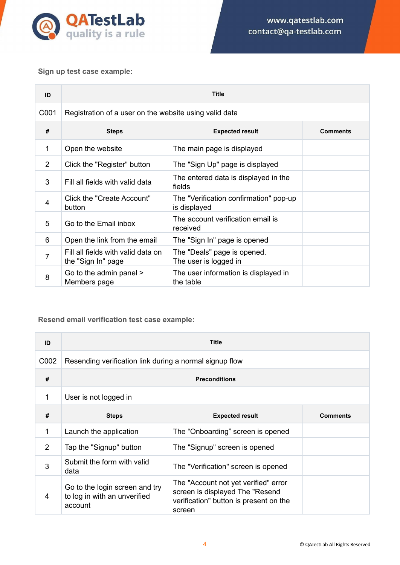

# <span id="page-3-0"></span>**Sign up test case example:**

| ID             | <b>Title</b>                                             |                                                        |                 |
|----------------|----------------------------------------------------------|--------------------------------------------------------|-----------------|
| C001           | Registration of a user on the website using valid data   |                                                        |                 |
| #              | <b>Steps</b>                                             | <b>Expected result</b>                                 | <b>Comments</b> |
| 1              | Open the website                                         | The main page is displayed                             |                 |
| $\overline{2}$ | Click the "Register" button                              | The "Sign Up" page is displayed                        |                 |
| 3              | Fill all fields with valid data                          | The entered data is displayed in the<br>fields         |                 |
| 4              | Click the "Create Account"<br>button                     | The "Verification confirmation" pop-up<br>is displayed |                 |
| 5              | Go to the Email inbox                                    | The account verification email is<br>received          |                 |
| 6              | Open the link from the email                             | The "Sign In" page is opened                           |                 |
| 7              | Fill all fields with valid data on<br>the "Sign In" page | The "Deals" page is opened.<br>The user is logged in   |                 |
| 8              | Go to the admin panel ><br>Members page                  | The user information is displayed in<br>the table      |                 |

# <span id="page-3-1"></span>**Resend email verification test case example:**

| ID   | <b>Title</b>                                                              |                                                                                                                             |                 |
|------|---------------------------------------------------------------------------|-----------------------------------------------------------------------------------------------------------------------------|-----------------|
| C002 | Resending verification link during a normal signup flow                   |                                                                                                                             |                 |
| #    | <b>Preconditions</b>                                                      |                                                                                                                             |                 |
| 1    | User is not logged in                                                     |                                                                                                                             |                 |
| #    | <b>Steps</b>                                                              | <b>Expected result</b>                                                                                                      | <b>Comments</b> |
| 1    | Launch the application                                                    | The "Onboarding" screen is opened                                                                                           |                 |
| 2    | Tap the "Signup" button                                                   | The "Signup" screen is opened                                                                                               |                 |
| 3    | Submit the form with valid<br>data                                        | The "Verification" screen is opened                                                                                         |                 |
| 4    | Go to the login screen and try<br>to log in with an unverified<br>account | The "Account not yet verified" error<br>screen is displayed The "Resend<br>verification" button is present on the<br>screen |                 |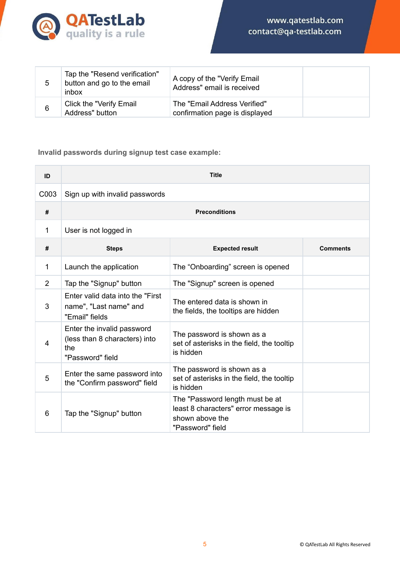

| 5 | Tap the "Resend verification"<br>button and go to the email<br>inbox | A copy of the "Verify Email<br>Address" email is received      |  |
|---|----------------------------------------------------------------------|----------------------------------------------------------------|--|
| 6 | Click the "Verify Email<br>Address" button                           | The "Email Address Verified"<br>confirmation page is displayed |  |

# <span id="page-4-0"></span>**Invalid passwords during signup test case example:**

| ID             | <b>Title</b>                                                                           |                                                                                                                |                 |
|----------------|----------------------------------------------------------------------------------------|----------------------------------------------------------------------------------------------------------------|-----------------|
| C003           | Sign up with invalid passwords                                                         |                                                                                                                |                 |
| #              |                                                                                        | <b>Preconditions</b>                                                                                           |                 |
| 1              | User is not logged in                                                                  |                                                                                                                |                 |
| #              | <b>Steps</b>                                                                           | <b>Expected result</b>                                                                                         | <b>Comments</b> |
| 1              | Launch the application                                                                 | The "Onboarding" screen is opened                                                                              |                 |
| $\overline{2}$ | Tap the "Signup" button                                                                | The "Signup" screen is opened                                                                                  |                 |
| 3              | Enter valid data into the "First"<br>name", "Last name" and<br>"Email" fields          | The entered data is shown in<br>the fields, the tooltips are hidden                                            |                 |
| 4              | Enter the invalid password<br>(less than 8 characters) into<br>the<br>"Password" field | The password is shown as a<br>set of asterisks in the field, the tooltip<br>is hidden                          |                 |
| 5              | Enter the same password into<br>the "Confirm password" field                           | The password is shown as a<br>set of asterisks in the field, the tooltip<br>is hidden                          |                 |
| 6              | Tap the "Signup" button                                                                | The "Password length must be at<br>least 8 characters" error message is<br>shown above the<br>"Password" field |                 |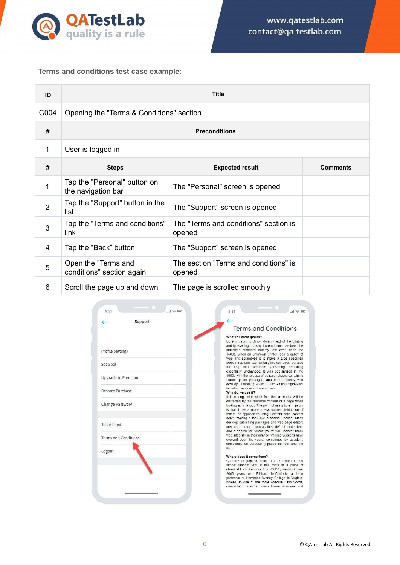

# <span id="page-5-0"></span>**Terms and conditions test case example:**

| ID             | <b>Title</b>                                       |                                                 |                 |
|----------------|----------------------------------------------------|-------------------------------------------------|-----------------|
| C004           | Opening the "Terms & Conditions" section           |                                                 |                 |
| #              |                                                    | <b>Preconditions</b>                            |                 |
| 1              | User is logged in                                  |                                                 |                 |
| #              | <b>Steps</b>                                       | <b>Expected result</b>                          | <b>Comments</b> |
| 1              | Tap the "Personal" button on<br>the navigation bar | The "Personal" screen is opened                 |                 |
| $\overline{2}$ | Tap the "Support" button in the<br>list            | The "Support" screen is opened                  |                 |
| 3              | Tap the "Terms and conditions"<br>link             | The "Terms and conditions" section is<br>opened |                 |
| 4              | Tap the "Back" button                              | The "Support" screen is opened                  |                 |
| 5              | Open the "Terms and<br>conditions" section again   | The section "Terms and conditions" is<br>opened |                 |
| 6              | Scroll the page up and down                        | The page is scrolled smoothly                   |                 |

| Support                               |                                                                                                                                                                                                                                                                                                                                                                                          |
|---------------------------------------|------------------------------------------------------------------------------------------------------------------------------------------------------------------------------------------------------------------------------------------------------------------------------------------------------------------------------------------------------------------------------------------|
|                                       | <b>Terms and Conditions</b>                                                                                                                                                                                                                                                                                                                                                              |
| <b>Profile Settings</b>               | What is Lorem Ipsum?<br>Lorem Ipsum is simply dummy text of the printing<br>and typesetting industry. Lorem Ipsum has been the<br>industry's standard dummy text ever since the<br>1500s, when an unknown printer took a galley of<br>type and scrambled it to make a type specimen                                                                                                      |
| Set Goal                              | book. It has survived not only five centuries, but also<br>the leap into electronic typesetting, remaining<br>essentially unchanged. It was popularised in the                                                                                                                                                                                                                           |
| <b>Upgrade to Premium</b>             | 1960s with the release of Letraset sheets containing<br>Lorem Ipsum passages, and more recently with<br>desktop publishing software like Aldus PageMaker                                                                                                                                                                                                                                 |
| <b>Restore Purchase</b>               | including versions of Lorem Ipsum.<br>Why do we use it?<br>It is a long established fact that a reader will be                                                                                                                                                                                                                                                                           |
| Change Password                       | distracted by the readable content of a page when<br>looking at its layout. The point of using Lorem Ipsum<br>is that it has a more-or-less normal distribution of<br>letters, as opposed to using 'Content here, content<br>here', making it look like readable English. Many                                                                                                           |
| <b>Tell A Fried</b>                   | desktop publishing packages and web page editors<br>now use Lorem Ipsum as their default model text,<br>and a search for 'lorem ipsum' will uncover many<br>web sites still in their infancy. Various versions have                                                                                                                                                                      |
| <b>Terms and Conditions</b><br>Logout | evolved over the years, sometimes by accident,<br>sometimes on purpose (injected humour and the<br>like).                                                                                                                                                                                                                                                                                |
|                                       | Where does it come from?<br>Contrary to popular belief, Lorem Ipsum is not<br>simply random text. It has roots in a piece of<br>classical Latin literature from 45 BC, making it over<br>2000 years old. Richard McClintock, a Latin<br>professor at Hampden-Sydney College in Virginia.<br>looked up one of the more obscure Latin words.<br>consectatur from a Lorem Insum nassane and |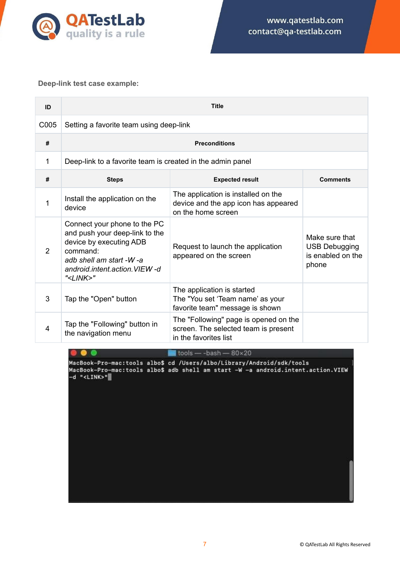

#### <span id="page-6-0"></span>**Deep-link test case example:**

8 8

| ID   | <b>Title</b>                                                                                                                                                                     |                                                                                                        |                                                                      |
|------|----------------------------------------------------------------------------------------------------------------------------------------------------------------------------------|--------------------------------------------------------------------------------------------------------|----------------------------------------------------------------------|
| C005 | Setting a favorite team using deep-link                                                                                                                                          |                                                                                                        |                                                                      |
| #    |                                                                                                                                                                                  | <b>Preconditions</b>                                                                                   |                                                                      |
| 1    | Deep-link to a favorite team is created in the admin panel                                                                                                                       |                                                                                                        |                                                                      |
| #    | <b>Steps</b>                                                                                                                                                                     | <b>Expected result</b>                                                                                 | <b>Comments</b>                                                      |
| 1    | Install the application on the<br>device                                                                                                                                         | The application is installed on the<br>device and the app icon has appeared<br>on the home screen      |                                                                      |
| 2    | Connect your phone to the PC<br>and push your deep-link to the<br>device by executing ADB<br>command:<br>adb shell am start -W -a<br>android intent action VIEW-d<br>" <link/> " | Request to launch the application<br>appeared on the screen                                            | Make sure that<br><b>USB Debugging</b><br>is enabled on the<br>phone |
| 3    | Tap the "Open" button                                                                                                                                                            | The application is started<br>The "You set 'Team name' as your<br>favorite team" message is shown      |                                                                      |
| 4    | Tap the "Following" button in<br>the navigation menu                                                                                                                             | The "Following" page is opened on the<br>screen. The selected team is present<br>in the favorites list |                                                                      |

 $\blacksquare$  tools - - bash - 80×20

MacBook-Pro-mac:tools albo\$ cd /Users/albo/Library/Android/sdk/tools<br>MacBook-Pro-mac:tools albo\$ adb shell am start -W -a android.intent.action.VIEW<br>-d "<LINK>"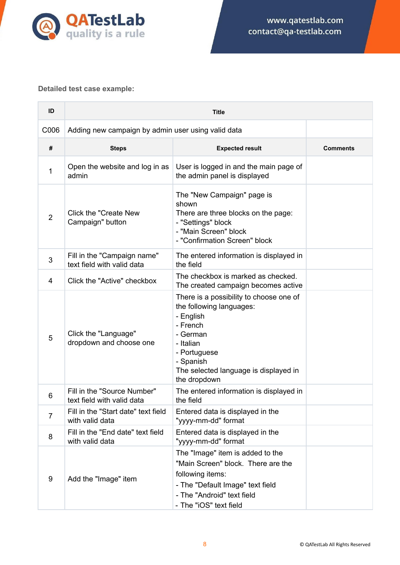

# <span id="page-7-0"></span>**Detailed test case example:**

| ID             | <b>Title</b>                                              |                                                                                                                                                                                                             |                 |
|----------------|-----------------------------------------------------------|-------------------------------------------------------------------------------------------------------------------------------------------------------------------------------------------------------------|-----------------|
| C006           | Adding new campaign by admin user using valid data        |                                                                                                                                                                                                             |                 |
| #              | <b>Steps</b>                                              | <b>Expected result</b>                                                                                                                                                                                      | <b>Comments</b> |
| 1              | Open the website and log in as<br>admin                   | User is logged in and the main page of<br>the admin panel is displayed                                                                                                                                      |                 |
| $\overline{2}$ | Click the "Create New<br>Campaign" button                 | The "New Campaign" page is<br>shown<br>There are three blocks on the page:<br>- "Settings" block<br>- "Main Screen" block<br>- "Confirmation Screen" block                                                  |                 |
| 3              | Fill in the "Campaign name"<br>text field with valid data | The entered information is displayed in<br>the field                                                                                                                                                        |                 |
| 4              | Click the "Active" checkbox                               | The checkbox is marked as checked.<br>The created campaign becomes active                                                                                                                                   |                 |
| 5              | Click the "Language"<br>dropdown and choose one           | There is a possibility to choose one of<br>the following languages:<br>- English<br>- French<br>- German<br>- Italian<br>- Portuguese<br>- Spanish<br>The selected language is displayed in<br>the dropdown |                 |
| 6              | Fill in the "Source Number"<br>text field with valid data | The entered information is displayed in<br>the field                                                                                                                                                        |                 |
| $\overline{7}$ | Fill in the "Start date" text field<br>with valid data    | Entered data is displayed in the<br>"yyyy-mm-dd" format                                                                                                                                                     |                 |
| 8              | Fill in the "End date" text field<br>with valid data      | Entered data is displayed in the<br>"yyyy-mm-dd" format                                                                                                                                                     |                 |
| 9              | Add the "Image" item                                      | The "Image" item is added to the<br>"Main Screen" block. There are the<br>following items:<br>- The "Default Image" text field<br>- The "Android" text field<br>- The "iOS" text field                      |                 |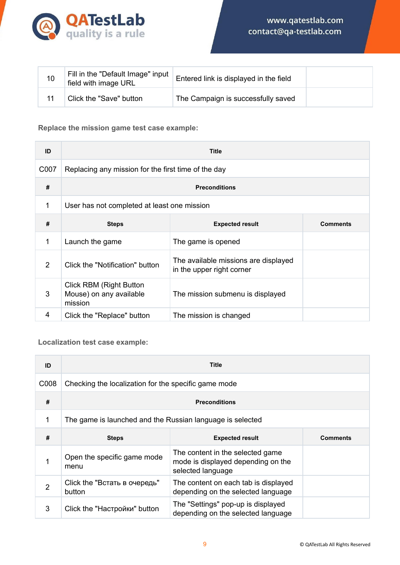

| 10 | Fill in the "Default Image" input<br>field with image URL | Entered link is displayed in the field |  |
|----|-----------------------------------------------------------|----------------------------------------|--|
|    | Click the "Save" button                                   | The Campaign is successfully saved     |  |

# <span id="page-8-0"></span>**Replace the mission game test case example:**

| ID   | <b>Title</b>                                                         |                                                                   |                 |
|------|----------------------------------------------------------------------|-------------------------------------------------------------------|-----------------|
| C007 | Replacing any mission for the first time of the day                  |                                                                   |                 |
| #    | <b>Preconditions</b>                                                 |                                                                   |                 |
| 1    | User has not completed at least one mission                          |                                                                   |                 |
| #    | <b>Steps</b>                                                         | <b>Expected result</b>                                            | <b>Comments</b> |
| 1    | Launch the game                                                      | The game is opened                                                |                 |
| 2    | Click the "Notification" button                                      | The available missions are displayed<br>in the upper right corner |                 |
| 3    | <b>Click RBM (Right Button</b><br>Mouse) on any available<br>mission | The mission submenu is displayed                                  |                 |
| 4    | Click the "Replace" button                                           | The mission is changed                                            |                 |

# <span id="page-8-1"></span>**Localization test case example:**

| ID             | <b>Title</b>                                              |                                                                                             |                 |
|----------------|-----------------------------------------------------------|---------------------------------------------------------------------------------------------|-----------------|
| C008           | Checking the localization for the specific game mode      |                                                                                             |                 |
| #              | <b>Preconditions</b>                                      |                                                                                             |                 |
| 1              | The game is launched and the Russian language is selected |                                                                                             |                 |
| #              | <b>Steps</b>                                              | <b>Expected result</b>                                                                      | <b>Comments</b> |
| 1              | Open the specific game mode<br>menu                       | The content in the selected game<br>mode is displayed depending on the<br>selected language |                 |
| $\overline{2}$ | Click the "Встать в очередь"<br>button                    | The content on each tab is displayed<br>depending on the selected language                  |                 |
| 3              | Click the "Настройки" button                              | The "Settings" pop-up is displayed<br>depending on the selected language                    |                 |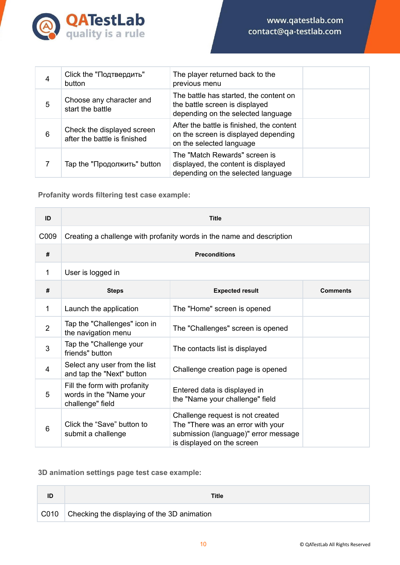

| 4 | Click the "Подтвердить"<br>button                          | The player returned back to the<br>previous menu                                                               |  |
|---|------------------------------------------------------------|----------------------------------------------------------------------------------------------------------------|--|
| 5 | Choose any character and<br>start the battle               | The battle has started, the content on<br>the battle screen is displayed<br>depending on the selected language |  |
| 6 | Check the displayed screen<br>after the battle is finished | After the battle is finished, the content<br>on the screen is displayed depending<br>on the selected language  |  |
|   | Тар the "Продолжить" button                                | The "Match Rewards" screen is<br>displayed, the content is displayed<br>depending on the selected language     |  |

<span id="page-9-0"></span>**Profanity words filtering test case example:**

| ID               | <b>Title</b>                                                                |                                                                                                                                             |                 |
|------------------|-----------------------------------------------------------------------------|---------------------------------------------------------------------------------------------------------------------------------------------|-----------------|
| C <sub>009</sub> | Creating a challenge with profanity words in the name and description       |                                                                                                                                             |                 |
| #                | <b>Preconditions</b>                                                        |                                                                                                                                             |                 |
| 1                | User is logged in                                                           |                                                                                                                                             |                 |
| #                | <b>Steps</b>                                                                | <b>Expected result</b>                                                                                                                      | <b>Comments</b> |
| 1                | Launch the application                                                      | The "Home" screen is opened                                                                                                                 |                 |
| $\overline{2}$   | Tap the "Challenges" icon in<br>the navigation menu                         | The "Challenges" screen is opened                                                                                                           |                 |
| 3                | Tap the "Challenge your<br>friends" button                                  | The contacts list is displayed                                                                                                              |                 |
| 4                | Select any user from the list<br>and tap the "Next" button                  | Challenge creation page is opened                                                                                                           |                 |
| 5                | Fill the form with profanity<br>words in the "Name your<br>challenge" field | Entered data is displayed in<br>the "Name your challenge" field                                                                             |                 |
| 6                | Click the "Save" button to<br>submit a challenge                            | Challenge request is not created<br>The "There was an error with your<br>submission (language)" error message<br>is displayed on the screen |                 |

# <span id="page-9-1"></span>**3D animation settings page test case example:**

| ID   | Title                                              |
|------|----------------------------------------------------|
| C010 | $\Box$ Checking the displaying of the 3D animation |